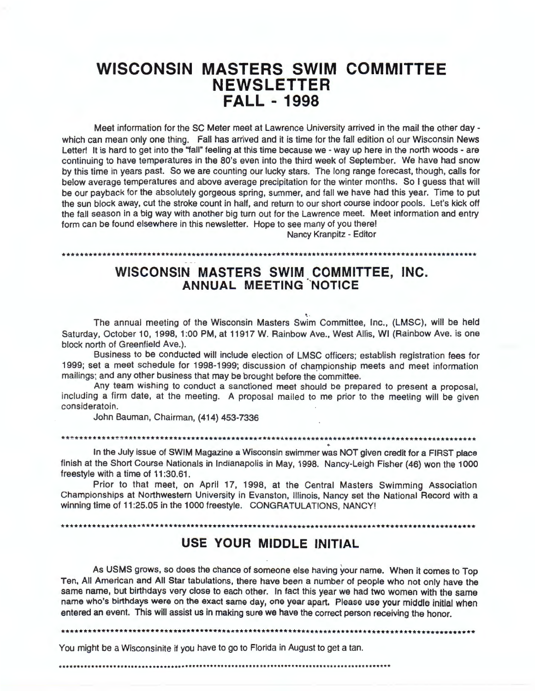# **WISCONSIN MASTERS SWIM COMMITTEE NEWSLETTER FALL - 1998**

Meet information for the SC Meter meet at Lawrence University arrived in the mail the other day which can mean only one thing. Fall has arrived and it is time for the fall edition of our Wisconsin News Letter! It is hard to get into the "fall" feeling at this time because we - way up here in the north woods - are continuing to have temperatures in the 80's even into the third week of September. We have had snow by this time in years past. So we are counting our lucky stars. The long range forecast, though, calls for below average temperatures and above average precipitation for the winter months. So I guess that will be our payback for the absolutely gorgeous spring, summer, and fall we have had this year. Time to put the sun block away, cut the stroke count in half, and return to our short course indoor pools. Let's kick off the fall season in a big way with another big turn out for the Lawrence meet. Meet information and entry form can be found elsewhere in this newsletter. Hope to see many of you there!

Nancy Kranpitz - Editor

## **WISCONSIN MASTERS SWIM COMMITTEE, INC. ANNUAL MEETING NOTICE**

• .. The annual meeting of the Wisconsin Masters Swim Committee, Inc., (LMSC}, will be held Saturday, October 10, 1998, 1:00 PM, at 11917 W. Rainbow Ave., West Allis, WI (Rainbow Ave. is one block north of Greenfield Ave.).

Business to be conducted will include election of LMSC officers; establish registration fees for 1999; set a meet schedule for 1998-1999; discussion of championship meets and meet information mailings; and any other business that may be brought before the committee.

Any team wishing to conduct a sanctioned meet should be prepared to present a proposal, including a firm date, at the meeting. A proposal mailed to me prior to the meeting will be given consideratoin.

John Bauman, Chairman, (414) 453-7336

\*\*\*\*\*\*\*\*\*\*\*\*\*\*\*\*\*\*\*\*\*\*\*\*\*\*\*\*\*\*\*\*\*\*\*\*\*\*\*\*\*\*\*\*\*\*\*\*\*\*\*\*\*\*\*\*\*\*\*\*\*\*\*\*\*\*\*\*\*\*\*\*\*\*\*\*\*\*\*\*\*\*\*\*\*\*\*\*\*\*\*\*\*

··~·······••\*~\*\*\*\*\*\*\*\*\*\*\*\*\*\*\*\*\*\*\*\*\*\*\*\*\*\*\*\*\*\*\*\*\*\*\*••··········································

In the July issue of SWIM Magazine a Wisconsin swimmer was NOT given credit for a FIRST place finish at the Short Course Nationals in Indianapolis in May, 1998. Nancy-Leigh Fisher (46) won the 1000 freestyle with a time of 11:30.61.

Prior to that meet, on April 17, 1998, at the Central Masters Swimming Association Championships at Northwestern University in Evanston, Illinois, Nancy set the National Record with a winning time of 11 :25.05 in the 1000 freestyle. CONGRATULATIONS, **NANCY!** 

\*\*\*\*\*\*\*\*\*\*\*\*\*\*\*\*\*\*\*\*\*\*\*\*\*\*\*\*\*\*\*\*\*\*\*\*\*\*\*\*\*\*\*\*\*\*\*\*\*\*\*\*\*\*\*\*\*\*\*\*\*\*\*\*\*\*\*\*\*\*\*\*\*\*\*\*\*\*\*\*\*\*\*\*\*\*\*\*\*\*\*\*\*

## **USE YOUR MIDDLE INITIAL**

As USMS grows, so does the chance of someone else having your name. When it comes to Top Ten, All American and All Star tabulations, there have been a number of people who not only have the same name, but birthdays very close to each other. In fact this year we had two women with the same name who's birthdays were on the exact same day, one year apart. Please use your middle initial when entered an event. This will assist us in making sure we have the correct person receiving the honor.

\*\*\*\*\*\*\*\*\*\*\*\*\*\*\*\*\*\*\*\*\*\*\*\*\*\*\*\*\*\*\*\*\*\*\*\*\*\*\*\*\*\*\*\*\*\*\*\*\*\*\*\*\*\*\*\*\*\*\*\*\*\*\*\*\*\*\*\*\*\*\*\*\*\*\*\*\*\*\*\*\*\*\*\*\*\*\*\*\*\*\*\*\*

You might be a Wisconsinite if you have to go to Florida in August to get a tan.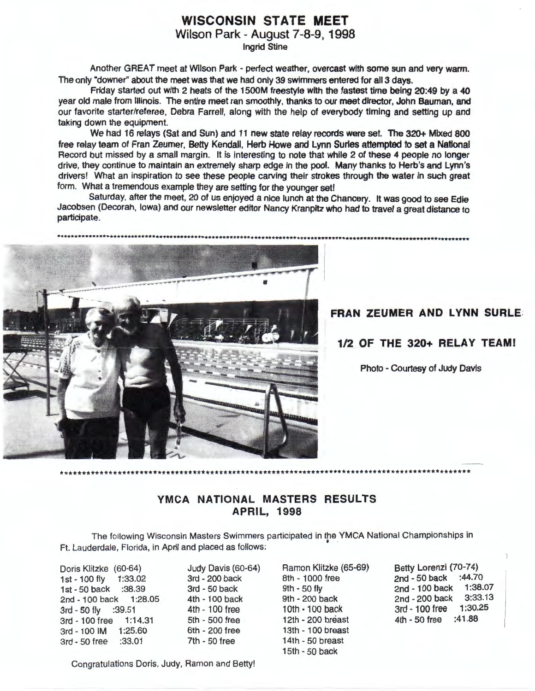## **WISCONSIN STATE MEET**

Wilson Park - August 7-8-9, 1998

Ingrid Stine

Another GREAT meet at Wilson Park - perfect weather, overcast with some sun and very warm. The only "downer'' about the meet was that we had only 39 swimmers entered for all 3 days.

Friday started out with 2 heats of the 1500M freestyle with the fastest time being 20:49 by a 40 year old male from Illinois. The entire meet ran smoothly, thanks to our meet director, John Bauman, and our favorite starter/referee, Debra Farrell, along with the help of everybody timing and setting up and taking down the equipment.

We had 16 relays (Sat and Sun) and 11 new state relay records were set. The 320+ Mixed 800 free relay team of Fran Zeumer, Betty Kendall, Herb Howe and Lynn Surles attempted to set a National Record but missed by a small margin. It is interesting to note that while 2 of these 4 people no longer drive, they continue to maintain an extremely sharp edge in the pool. Many thanks to Herb's and Lynn's drivers! What an inspiration to see these people carving their strokes through the water in such great form. What a tremendous example they are setting for the younger set!

Saturday, after the meet, 20 of us enjoyed a nice lunch at the Chancery. It was good to see Edie Jacobsen (Decorah, Iowa) and our newsletter editor Nancy Kranpitz who had to travel a great distance to participate.



#### **FRAN ZEUMER AND LYNN SURLE.**

**1/2 OF THE 320+ RELAY TEAM!** 

Photo - Courtesy of Judy Davis

## **YMCA NATIONAL MASTERS RESULTS APRIL, 1998**

\*\*\*\*\*\*\*\*\*\*\*\*\*\*\*\*\*\*\*\*\*\*\*\*\*\*\*\*\*\*\*\*\*\*\*\*\*\*\*\*\*\*\*\*\*\*\*\*\*\*\*\*\*\*\*\*\*\*\*\*\*\*\*\*\*\*\*\*\*\*\*\*\*\*\*\*\*\*\*\*\*\*\*\*\*\*\*\*\*\*\*\*\*

The following Wisconsin Masters Swimmers participated in the . **YMCA** National Championships in . Ft. Lauderdale, Florida, in April and placed as follows:

Doris Klitzke (60-64) 1st - 100 fly 1 :33.02 1st - 50 back :38.39 2nd - 100 back 1:28.05 3rd - 50 fly :39.51 3rd-100free 1:14.31 3rd - 100 IM 1:25.60 3rd - 50 free :33.01

Judy Davis (60-64) 3rd - 200 back 3rd - 50 back 4th - 100 back 4th - 100 free 5th - 500 free 6th - 200 free 7th - 50 free

Ramon Klitzke (65-69) 8th - 1000 free 9th - 50 fly 9th - 200 back 10th· 100 back 12th - 200 breast 13th - 100 breast 14th - 50 breast 15th - 50 back

Betty Lorenzi (70-74) 2nd - 50 back :44.70<br>2nd - 100 back 1:38.07 2nd - 100 back 1:38.07<br>2nd - 200 back 3:33.13 2nd - 200 back 3:33.13<br>3rd - 100 free 1:30.25 3rd - 100 free 4th - 50 free :41.88

Congratulations Doris, Judy, Ramon and Betty!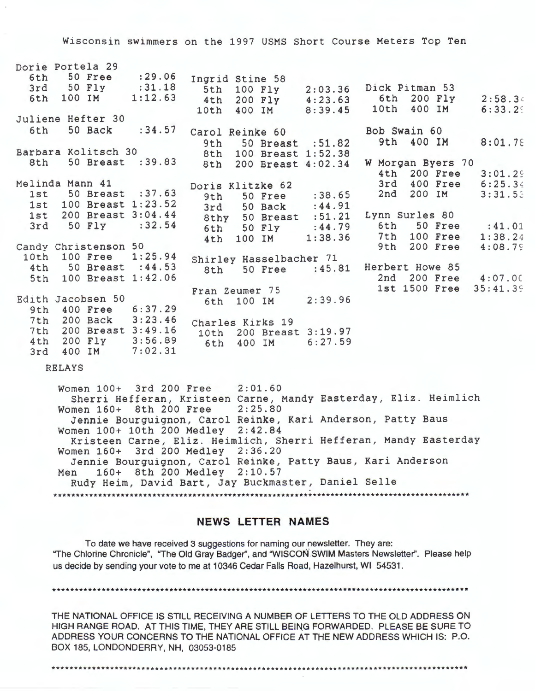Wisconsin swimmers on the 1997 USMS Short Course Meters Top Ten

|     | Dorie Portela 29<br>6th 50 Free : 29.06 |         |                  |                  |                                      |                   |              |                        |
|-----|-----------------------------------------|---------|------------------|------------------|--------------------------------------|-------------------|--------------|------------------------|
|     |                                         |         | Ingrid Stine 58  |                  |                                      |                   |              |                        |
|     | 3rd 50 Fly : 31.18                      |         |                  | 5th 100 Fly      | 2:03.36 Dick Pitman 53               |                   |              |                        |
|     | 6th 100 IM 1:12.63                      |         |                  |                  | 4th 200 Fly 4:23.63 6th 200 Fly      |                   |              | 2:58.34                |
|     |                                         |         |                  |                  | 10th 400 IM 8:39.45                  |                   | 10th 400 IM  | 6:33.29                |
|     | Juliene Hefter 30                       |         |                  |                  |                                      |                   |              |                        |
| 6th | 50 Back                                 | : 34.57 |                  | Carol Reinke 60  |                                      | Bob Swain 60      |              |                        |
|     |                                         |         | 9th              |                  | 50 Breast : 51.82                    |                   |              | 9th 400 IM $8:01.78$   |
|     | Barbara Kolitsch 30                     |         |                  |                  | 8th 100 Breast 1:52.38               |                   |              |                        |
| 8th | 50 Breast : 39.83                       |         | 8th              |                  | 200 Breast 4:02.34                   | W Morgan Byers 70 |              |                        |
|     |                                         |         |                  |                  |                                      |                   | 4th 200 Free | 3:01.29                |
|     | Melinda Mann 41                         |         |                  |                  |                                      |                   | 3rd 400 Free | 6:25.34                |
|     |                                         |         |                  | Doris Klitzke 62 |                                      |                   |              |                        |
|     | 1st 50 Breast : 37.63                   |         | 9th              |                  | 50 Free : 38.65                      | 2nd               | 200 IM       | 3:31.53                |
|     | 1st 100 Breast 1:23.52                  |         |                  |                  | 3rd 50 Back : 44.91                  |                   |              |                        |
|     | 1st 200 Breast 3:04.44                  |         |                  |                  | 8thy 50 Breast :51.21 Lynn Surles 80 |                   |              |                        |
|     | 3rd 50 Fly : 32.54                      |         |                  |                  | 6th 50 Fly : 44.79                   |                   |              | 6th 50 Free : 41.01    |
|     |                                         |         | 4th              |                  | 100 IM 1:38.36                       |                   | 7th 100 Free | 1:38.24                |
|     | Candy Christenson 50                    |         |                  |                  |                                      | 9th               | 200 Free     | 4:08.79                |
|     | 10th 100 Free 1:25.94                   |         |                  |                  | Shirley Hasselbacher 71              |                   |              |                        |
|     | 4th 50 Breast : 44.53                   |         |                  |                  | 8th 50 Free : 45.81                  | Herbert Howe 85   |              |                        |
|     | 5th 100 Breast 1:42.06                  |         |                  |                  |                                      |                   |              | 2nd 200 Free 4:07.00   |
|     |                                         |         |                  |                  |                                      |                   |              | 1st 1500 Free 35:41.39 |
|     | Edith Jacobsen 50                       |         |                  | Fran Zeumer 75   |                                      |                   |              |                        |
|     |                                         |         |                  | 6th 100 IM       | 2:39.96                              |                   |              |                        |
|     | 9th 400 Free 6:37.29                    |         |                  |                  |                                      |                   |              |                        |
|     | 7th 200 Back 3:23.46                    |         | Charles Kirks 19 |                  |                                      |                   |              |                        |
|     | 7th 200 Breast 3:49.16                  |         |                  |                  | 10th 200 Breast 3:19.97              |                   |              |                        |
| 4th | 200 Fly 3:56.89                         |         | 6th              | 400 IM           | 6:27.59                              |                   |              |                        |
| 3rd | 400 IM 7:02.31                          |         |                  |                  |                                      |                   |              |                        |

RELAYS

Women 100+ 3rd 200 Free 2:01.60 Sherri Hefferan, Kristeen Carne, Mandy Easterday, Eliz. Heimlich Women 160+ 8th 200 Free 2:25.80 Jennie Bourguignon, Carol Reinke, Kari Anderson, Patty Baus Women 100+ 10th 200 Medley 2:42.84 Kristeen Carne, Eliz. Heimlich, Sherri Hefferan, Mandy Easterday Women 160+ 3rd 200 Medley 2:36 . 20 Jennie Bourguignon, Carol Reinke, Patty Baus, Kari Anderson Men 160+ 8th 200 Medley 2:10.57 Rudy Heim, David Bart, Jay Buckmaster, Daniel Selle \*\*\*\*\*\*\*\*\*\*\*\*\*\*\*\*\*\*\*\*\*\*\*\*\*\*\*\*\*\*\*\*\*\*\*\*\*\*\*\*\*\*\*\*\*\*\*\*\*\*\*\*\*\*\*\*\*\*\*\*\*\*\*\*\*\*\*\*\*\*\*\*\*\*\*\*\*\*\*\*\*\*\*\*\*\*\*\*\*\*\*\*\*

#### **NEWS LETTER NAMES**

To date we have received 3 suggestions for naming our newsletter. They are: "The Chlorine Chronicle", "The Old Gray Badger", and "WISCON SWIM Masters Newsletter". Please help us decide by sending your vote to me at 10346 Cedar Falls Road, Hazelhurst, WI 54531 .

\*\*\*\*\*\*\*\*\*\*\*\*\*\*\*\*\*\*\*\*\*\*\*\*\*\*\*\*\*\*\*\*\*\*\*\*\*\*\*\*\*\*\*\*\*\*\*\*\*\*\*\*\*\*\*\*\*\*\*\*\*\*\*\*\*\*\*\*\*\*\*\*\*\*\*\*\*\*\*\*\*\*\*\*\*\*\*\*\*\*\*\*\*

THE **NATIONAL** OFFICE IS STILL RECEIVING A NUMBER OF LETTERS TO THE OLD ADDRESS ON HIGH RANGE ROAD. AT THIS TIME, THEY ARE STILL BEING FORWARDED. PLEASE BE SURE TO ADDRESS YOUR CONCERNS TO THE NATIONAL OFFICE AT THE NEW ADDRESS WHICH IS: P.O. BOX 185, LONDONDERRY, NH, 03053-0185

\*\*\*\*\*\*\*\*\*\*\*\*\*\*\*\*\*\*\*\*\*\*\*\*\*\*\*\*\*\*\*\*\*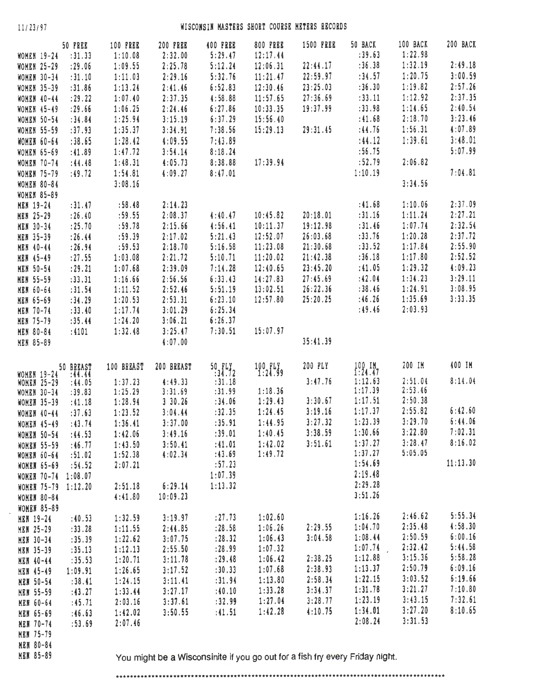$\bar{\nu}$ 

### <sup>11</sup> /23 /97 **WISCONSIN MASTERS** SHORT **COURSE METERS RECORDS**

|                                      | 50 FREE             | <b>100 FREE</b>    | 200 FREE                                                                     | <b>400 FREE</b> | <b>800 FREE</b>    | <b>1500 FREE</b> | 50 BACK               | 100 BACK | 200 BACK |
|--------------------------------------|---------------------|--------------------|------------------------------------------------------------------------------|-----------------|--------------------|------------------|-----------------------|----------|----------|
| <b>WOMEN 19-24</b>                   | : 31.33             | 1:10.08            | 2:32.00                                                                      | 5:29.47         | 12:17.44           |                  | : 39.63               | 1:22.98  |          |
| <b>WOMEN 25-29</b>                   | : 29.06             | 1:09.55            | 2:25.78                                                                      | 5:12.24         | 12:06.31           | 22:44.17         | :36.38                | 1:32.19  | 2:49.18  |
| <b>WOMEN 30-34</b>                   | :31.10              | 1:11.03            | 2:29.16                                                                      | 5:32.76         | 11:21.47           | 22:59.97         | :34.57                | 1:20.75  | 3:00.59  |
| <b>WOMEN 35-39</b>                   | :31.86              | 1:13.24            | 2:41.46                                                                      | 6:52.83         | 12:30.46           | 23:25.03         | :36.30                | 1:19.82  | 2:57.26  |
| WOMEN 40-44                          | : 29.22             | 1:07.40            | 2:37.35                                                                      | 4:58.88         | 11:57.65           | 27:36.69         | : 33.11               | 1:12.92  | 2:37.35  |
| <b>WOMEN 45-49</b>                   | : 29.66             | 1:06.25            | 2:24.46                                                                      | 6:27.86         | 10:33.35           | 19:37.99         | :33.98                | 1:14.65  | 2:40.54  |
| <b>WOMEN 50-54</b>                   | :34.84              | 1:25.94            | 3:15.19                                                                      | 6:37.29         | 15:56.40           |                  | : 41.68               | 2:18.70  | 3:23.46  |
| <b>WOMEN 55-59</b>                   | :37.93              | 1:35.37            | 3:34.91                                                                      | 7:38.56         | 15:29.13           | 29:31.45         | :44.76                | 1:56.31  | 4:07.89  |
|                                      | :38.65              |                    |                                                                              |                 |                    |                  | : 44.12               | 1:39.61  | 3:48.01  |
| <b>WOMEN 60-64</b>                   |                     | 1:28.42            | 4:09.55                                                                      | 7:43.89         |                    |                  |                       |          | 5:07.99  |
| <b>WOMEN 65-69</b>                   | :41.89              | 1:47.72            | 3:54.14                                                                      | 8:18.24         |                    |                  | :56.75                |          |          |
| <b>WOMEN 70-74</b>                   | :44.48              | 1:48.31            | 4:05.73                                                                      | 8:38.88         | 17:39.94           |                  | :52.79                | 2:06.82  |          |
| <b>WOMEN 75-79</b>                   | :49.72              | 1:54.81            | 4:09.27                                                                      | 8:47.01         |                    |                  | 1:10.19               |          | 7:04.81  |
| <b>WOMEN 80-84</b>                   |                     | 3:08.16            |                                                                              |                 |                    |                  |                       | 3:34.56  |          |
| <b>WOMEN 85-89</b>                   |                     |                    |                                                                              |                 |                    |                  |                       |          |          |
| <b>MEN 19-24</b>                     | : 31.47             | :58.48             | 2:14.23                                                                      |                 |                    |                  | : 41.68               | 1:10.06  | 2:37.09  |
| <b>MEN 25-29</b>                     | : 26.40             | :59.55             | 2:08.37                                                                      | 4:40.47         | 10:45.82           | 20:18.01         | :31.16                | 1:11.24  | 2:27.21  |
| <b>MEN 30-34</b>                     | : 25.70             | :59.78             | 2:15.66                                                                      | 4:56.41         | 10:11.37           | 19:12.98         | : 31.46               | 1:07.74  | 2:32.54  |
| <b>MEN 35-39</b>                     | : 26.44             | :59.39             | 2:17.02                                                                      | 5:21.43         | 12:52.07           | 26:03.68         | : 33.76               | 1:20.28  | 2:37.72  |
| <b>MEN 40-44</b>                     | : 26.94             | :59.53             | 2:18.70                                                                      | 5:16.58         | 11:23.08           | 21:30.68         | : 33.52               | 1:17.84  | 2:55.90  |
| <b>MEN 45-49</b>                     | : 27.55             | 1:03.08            | 2:21.72                                                                      | 5:10.71         | 11:20.02           | 21:42.38         | :36.18                | 1:17.80  | 2:52.52  |
| <b>MEN 50-54</b>                     | : 29.21             | 1:07.68            | 2:39.09                                                                      | 7:14.28         | 12:40.65           | 23:45.20         | :41.05                | 1:29.32  | 4:09.23  |
| <b>MEN 55-59</b>                     | : 33.31             | 1:16.66            | 2:56.56                                                                      | 6:33.43         | 14:27.83           | 27:45.69         | :42.04                | 1:34.23  | 3:29.11  |
| <b>MEN 60-64</b>                     | : 31.54             | 1:11.52            | 2:52.46                                                                      | 5:51.19         | 13:02.51           | 26:22.36         | : 38.46               | 1:24.91  | 3:08.95  |
| <b>MEN 65-69</b>                     | :34.29              | 1:20.53            | 2:53.31                                                                      | 6:23.10         | 12:57.80           | 25:20.25         | :46.26                | 1:35.69  | 3:33.35  |
| <b>MEN 70-74</b>                     | :33.40              | 1:17.74            | 3:01.29                                                                      | 6:25.34         |                    |                  | :49.46                | 2:03.93  |          |
| <b>MEN 75-79</b>                     | : 35.44             | 1:24.20            | 3:06.21                                                                      | 6:26.37         |                    |                  |                       |          |          |
| <b>MEN 80-84</b>                     | :4101               | 1:32.48            | 3:25.47                                                                      | 7:30.51         | 15:07.97           |                  |                       |          |          |
| <b>MEN 85-89</b>                     |                     |                    | 4:07.00                                                                      |                 |                    | 35:41.39         |                       |          |          |
|                                      |                     |                    |                                                                              |                 |                    |                  |                       |          | 400 IM   |
| <b>WOMEN 19-24</b>                   | 50 BREAST<br>:44.44 | 100 BREAST         | 200 BREAST                                                                   | 50.7172         | $100$ $11$ $24.99$ | 200 PLY          | $100$ IM<br>$1:24.47$ | 200 IM   |          |
|                                      |                     |                    | 4:49.33                                                                      | :31.18          |                    | 3:47.76          | 1:12.63               | 2:51.04  | 8:14.04  |
|                                      |                     |                    |                                                                              |                 |                    |                  |                       |          |          |
| <b>WOMEN 25-29</b>                   | :44.05<br>:39.83    | 1:37.23<br>1:25.29 | 3:31.69                                                                      | :31.99          | 1:18.36            |                  | 1:17.39               | 2:53.46  |          |
| <b>WOMEN 30-34</b>                   |                     |                    | 330.26                                                                       | :34.06          | 1:29.43            | 3:30.67          | 1:17.51               | 2:50.38  |          |
| <b>WOMEN 35-39</b>                   | :41.18              | 1:28.94<br>1:23.52 | 3:04.44                                                                      | :32.35          | 1:24.45            | 3:19.16          | 1:17.37               | 2:55.82  | 6:42.60  |
| <b>WOMEN 40-44</b>                   | :37.63              |                    |                                                                              | :35.91          | 1:44.95            | 3:27.32          | 1:23.39               | 3:29.70  | 6:44.06  |
| <b>WOMEN 45-49</b>                   | : 43.74             | 1:36.41            | 3:37.00                                                                      |                 |                    | 3:38.59          | 1:30.66               | 3:22.80  | 7:02.31  |
| <b>WOMEN 50-54</b>                   | :44.53              | 1:42.06            | 3:49.16                                                                      | :39.01          | 1:40.45            |                  | 1:37.27               | 3:28.47  | 8:16.02  |
| <b>WOMEN 55-59</b>                   | : 46.77             | 1:43.50            | 3:50.41                                                                      | : 41.01         | 1:42.02            | 3:51.61          | 1:37.27               | 5:05.05  |          |
| <b>WOMEN 60-64</b>                   | :51.02              | 1:52.38            | 4:02.34                                                                      | :43.69          | 1:49.72            |                  | 1:54.69               |          | 11:13.30 |
| <b>WOMEN 65-69</b>                   | : 54.52             | 2:07.21            |                                                                              | :57.23          |                    |                  |                       |          |          |
| WOMER 70-74 1:08.07                  |                     |                    |                                                                              | 1:07.39         |                    |                  | 2:19.48               |          |          |
| WOMER 75-79 1:12.20                  |                     | 2:51.18            | 6:29.14                                                                      | 1:13.32         |                    |                  | 2:29.28               |          |          |
| <b>WOMEN 80-84</b>                   |                     | 4:41.80            | 10:09.23                                                                     |                 |                    |                  | 3:51.26               |          |          |
| <b>WOMEN 85-89</b>                   |                     |                    |                                                                              |                 |                    |                  |                       |          |          |
| <b>MEN 19-24</b>                     | :40.53              | 1:32.59            | 3:19.97                                                                      | : 27.73         | 1:02.60            |                  | 1:16.26               | 2:46.62  | 5:55.34  |
| <b>NEW 25-29</b>                     | : 33.28             | 1:11.55            | 2:44.85                                                                      | : 28.58         | 1:06.26            | 2:29.55          | 1:04.70               | 2:35.48  | 4:58.30  |
| <b>MEN 30-34</b>                     | :35.39              | 1:22.62            | 3:07.75                                                                      | : 28.32         | 1:06.43            | 3:04.58          | 1:08.44               | 2:50.59  | 6:00.16  |
| <b>MEN 35-39</b>                     | :35.13              | 1:12.13            | 2:55.50                                                                      | : 28.99         | 1:07.32            |                  | 1:07.74               | 2:32.42  | 5:44.58  |
| <b>MEN 40-44</b>                     | : 35.53             | 1:20.71            | 3:11.78                                                                      | : 29.48         | 1:06.42            | 2:38.25          | 1:12.88               | 3:15.36  | 5:58.28  |
| <b>MEN 45-49</b>                     | 1:09.91             | 1:26.65            | 3:17.52                                                                      | : 30.33         | 1:07.68            | 2:38.93          | 1:13.37               | 2:50.79  | 6:09.16  |
| <b>MEN 50-54</b>                     | : 38.41             | 1:24.15            | 3:11.41                                                                      | :31.94          | 1:13.80            | 2:58.34          | 1:22.15               | 3:03.52  | 6:19.66  |
| <b>MEN 55-59</b>                     | : 43.27             | 1:33.44            | 3:27.17                                                                      | :40.10          | 1:33.28            | 3:34.37          | 1:31.78               | 3:21.27  | 7:10.80  |
| <b>MEN 60-64</b>                     | :45.71              | 2:03.16            | 3:37.61                                                                      | :32.99          | 1:27.04            | 3:28.77          | 1:23.19               | 3:43.15  | 7:32.61  |
| <b>MEN 65-69</b>                     | :46.63              | 1:42.02            | 3:50.55                                                                      | : 41.51         | 1:42.28            | 4:10.75          | 1:34.01               | 3:27.20  | 8:10.65  |
| <b>MEN 70-74</b>                     | :53.69              | 2:07.46            |                                                                              |                 |                    |                  | 2:08.24               | 3:31.53  |          |
| <b>MEN 75-79</b>                     |                     |                    |                                                                              |                 |                    |                  |                       |          |          |
| <b>MEN 80-84</b><br><b>MEN 85-89</b> |                     |                    | You might be a Wisconsinite if you go out for a fish fry every Friday night. |                 |                    |                  |                       |          |          |

••..••••..........•..............................•.•...•••....•.........•••.••••••••••••••..•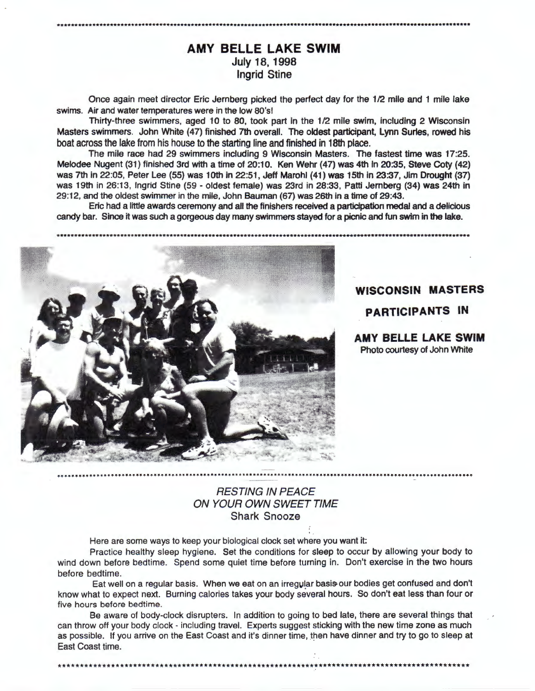## **AMY BELLE LAKE SWIM**  July 18, 1998 Ingrid Stine

Once again meet director Eric Jernberg picked the perfect day for the 1/2 mile and 1 mile lake swims. Air and water temperatures were in the low 80's!

Thirty-three swimmers, aged 10 to 80, took part in the 1/2 mile swim, including 2 Wisconsin Masters swimmers. John White (47) finished 7th overall. The oldest participant, Lynn Surles, rowed his boat across the lake from his house to the starting line and finished in 18th place.

The mile race had 29 swimmers including 9 Wisconsin Masters. The fastest time was 17:25. Melodee Nugent (31) finished 3rd with a time of 20:10. Ken Wehr (47) was 4th In 20:35, Steve Coty (42) was 7th in 22:05, Peter Lee (55) was 10th in 22:51, Jeff Marohl (41) was 15th in 23:37, Jim Drought (37) was 19th in 26:13, Ingrid Stine (59 - oldest female) was 23rd in 28:33, Patti Jernberg (34) was 24th in 29:12, and the oldest swimmer in the mile, John Bauman (67) was 26th in a time of 29:43.

Eric had a little awards ceremony and all the finishers received a participation medal and a delicious candy bar. Since it was such a gorgeous day many swimmers stayed for a picnic and fun swim in the lake.



\*\*\*\*\*\*\*\*\*\*\*\*\*\*\*\*\*\*\*\*\*\*\*\*\*\*\*\*\*\*\*\*\*\*

**WISCONSIN MASTERS** 

**PARTICIPANTS IN** 

**AMY BELLE LAKE SWIM**  Photo courtesy of John White

## RESTING IN PEACE ON YOUR OWN SWEET TIME Shark Snooze

Here are some ways to keep your biological clock set where you want it:

Practice healthy sleep hygiene. Set the conditions for sleep to occur by allowing your body to wind down before bedtime. Spend some quiet time before turning in. Don't exercise in the two hours before bedtime.

Eat well on a regular basis. When we eat on an irregular basis-our bodies get confused and don't know what to expect next. Burning calories takes your body several hours. So don't eat less than four or five hours before bedtime.

Be aware of body-clock disrupters. In addition to going to bed late, there are several things that can throw off your body clock - including travel. Experts suggest sticking with the new time zone as much as possible. If you arrive on the East Coast and it's dinner time, then have dinner and try to go to sleep at East Coast time.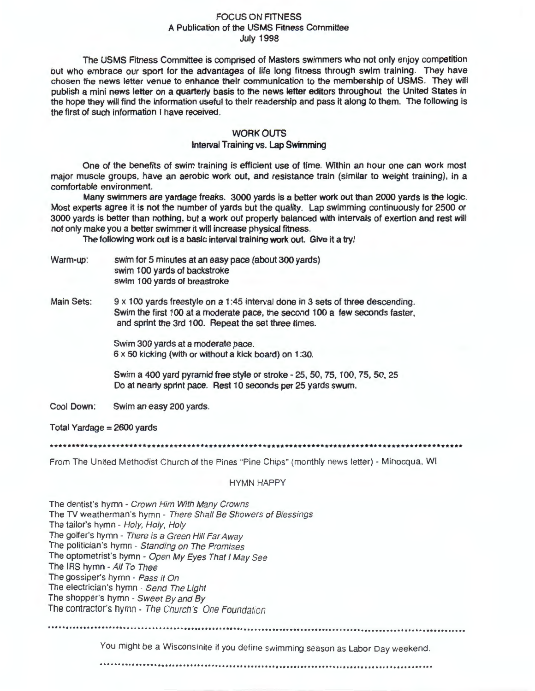#### FOCUS ON FITNESS A Publication of the USMS Fitness Committee July 1998

The USMS Fitness Committee is comprised of Masters swimmers who not only enjoy competition but who embrace our sport for the advantages of life long fitness through swim training. They have chosen the news letter venue to enhance their communication to the membership of USMS. They will publish a mini news letter on a quarterly basis to the news letter editors throughout the United States in the hope they will find the information useful to their readership and pass it along to them. The following is the first of such information I have received.

#### WORK OUTS

#### Interval Training vs. Lap Swimming

One of the benefits of swim training is efficient use of time. Within an hour one can work most major muscle groups, have an aerobic work out, and resistance train (similar to weight training), in a comfortable environment.

Many swimmers are yardage freaks. 3000 yards is a better work out than 2000 yards is the logic. Most experts agree it is not the number of yards but the quality. Lap swimming continuously for 2500 or 3000 yards is better than nothing, but a work out properly balanced with intervals of exertion and rest will not only make you a better swimmer it will increase physical fitness.

The following work out is a basic interval training work out. Give it a try!

- Warm-up: swim for 5 minutes at an easy pace (about 300 yards) swim 100 yards of backstroke swim 100 yards of breastroke
- Main Sets: 9 x 100 yards freestyle on a 1 :45 interval done in 3 sets of three descending. Swim the first 100 at a moderate pace, the second 100 a few seconds faster, and sprint the 3rd 100. Repeat the set three times.

Swim 300 yards at a moderate pace. 6 x 50 kicking (with or without a kick board) on 1 :30.

Swim a 400 yard pyramid free style or stroke - 25, 50, 75, 100, 75, 50, 25 Do at nearly sprint pace. Rest 10 seconds per 25 yards swum.

Cool Down: Swim an easy 200 yards.

Total Yardage= 2600 yards

\*\*\*\*\*\*\*\*\*\*\*\*\*\*\*\*\*\*\*\*\*\*\*\*\*\*\*\*\*\*\*\*\*\*\*\*\*\*\*\*\*\*\*\*\*\*\*\*\*\*\*\*\*\*\*\*\*\*\*\*\*\*\*\*\*\*\*\*\*\*\*\*\*\*\*\*\*\*\*\*\*\*\*\*\*\*\*\*\*\*\*\*\*

From The United Methodist Church of the Pines "Pine Chips" (monthly news letter) - Minocqua, WI

#### HYMN HAPPY

The dentist's hymn - Crown Him With Many Crowns The TV weatherman's hymn - There Shall Be Showers of Blessings The tailor's hymn - Holy, Holy, Holy The golfer's hymn - There is a Green Hill Far Away The politician's hymn - Standing on The Promises The optometrist's hymn - Open My Eyes That I May See The IRS hymn - All To Thee The gossiper's hymn - Pass it On The electrician's hymn - Send The Light The shopper's hymn - Sweet By and By The contractor's hymn - The Church 's One Foundation

·····················································································································

You might be a Wisconsinite if you define swimming season as Labor Day weekend.

·····························································································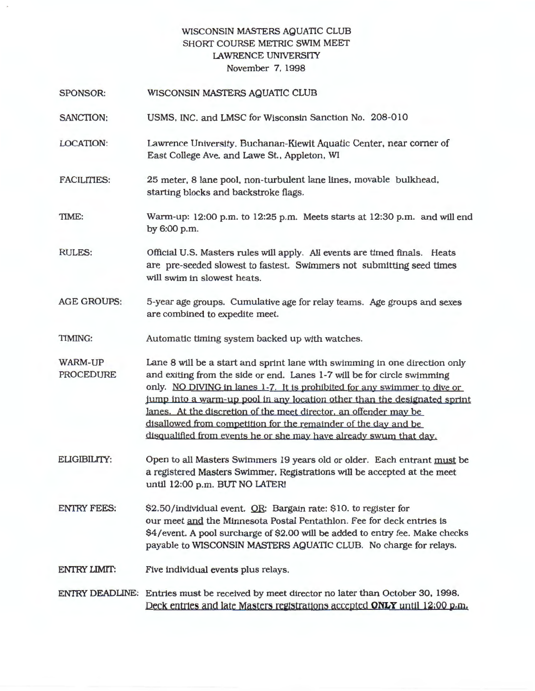## WISCONSIN MASTERS AQUATIC CLUB SHORT COURSE METRIC SWIM MEET LAWRENCE UNIVERSITY November 7, 1998

| <b>SPONSOR:</b>                    | WISCONSIN MASTERS AQUATIC CLUB                                                                                                                                                                                                                                                                                                                                                                                                                                                                                                |
|------------------------------------|-------------------------------------------------------------------------------------------------------------------------------------------------------------------------------------------------------------------------------------------------------------------------------------------------------------------------------------------------------------------------------------------------------------------------------------------------------------------------------------------------------------------------------|
| SANCTION:                          | USMS, INC. and LMSC for Wisconsin Sanction No. 208-010                                                                                                                                                                                                                                                                                                                                                                                                                                                                        |
| <b>LOCATION:</b>                   | Lawrence University, Buchanan-Kiewit Aquatic Center, near corner of<br>East College Ave. and Lawe St., Appleton, WI                                                                                                                                                                                                                                                                                                                                                                                                           |
| <b>FACILITIES:</b>                 | 25 meter, 8 lane pool, non-turbulent lane lines, movable bulkhead,<br>starting blocks and backstroke flags.                                                                                                                                                                                                                                                                                                                                                                                                                   |
| TIME:                              | Warm-up: 12:00 p.m. to 12:25 p.m. Meets starts at 12:30 p.m. and will end<br>by 6:00 p.m.                                                                                                                                                                                                                                                                                                                                                                                                                                     |
| <b>RULES:</b>                      | Official U.S. Masters rules will apply. All events are timed finals. Heats<br>are pre-seeded slowest to fastest. Swimmers not submitting seed times<br>will swim in slowest heats.                                                                                                                                                                                                                                                                                                                                            |
| <b>AGE GROUPS:</b>                 | 5-year age groups. Cumulative age for relay teams. Age groups and sexes<br>are combined to expedite meet.                                                                                                                                                                                                                                                                                                                                                                                                                     |
| <b>TIMING:</b>                     | Automatic timing system backed up with watches.                                                                                                                                                                                                                                                                                                                                                                                                                                                                               |
| <b>WARM-UP</b><br><b>PROCEDURE</b> | Lane 8 will be a start and sprint lane with swimming in one direction only<br>and exiting from the side or end. Lanes 1-7 will be for circle swimming<br>only. NO DIVING in lanes 1-7. It is prohibited for any swimmer to dive or<br>jump into a warm-up pool in any location other than the designated sprint<br>lanes. At the discretion of the meet director, an offender may be<br>disallowed from competition for the remainder of the day and be<br>disqualified from events he or she may have already swum that day. |
| <b>ELIGIBILITY:</b>                | Open to all Masters Swimmers 19 years old or older. Each entrant must be<br>a registered Masters Swimmer. Registrations will be accepted at the meet<br>until 12:00 p.m. BUT NO LATER!                                                                                                                                                                                                                                                                                                                                        |
| <b>ENTRY FEES:</b>                 | \$2.50/individual event. OR: Bargain rate: \$10. to register for<br>our meet and the Minnesota Postal Pentathlon. Fee for deck entries is<br>\$4/event. A pool surcharge of \$2.00 will be added to entry fee. Make checks<br>payable to WISCONSIN MASTERS AQUATIC CLUB. No charge for relays.                                                                                                                                                                                                                                |
| <b>ENTRY LIMIT:</b>                | Five individual events plus relays.                                                                                                                                                                                                                                                                                                                                                                                                                                                                                           |
|                                    | ENTRY DEADLINE: Entries must be received by meet director no later than October 30, 1998.<br>Deck entries and late Masters registrations accepted ONLY until 12:00 p.m.                                                                                                                                                                                                                                                                                                                                                       |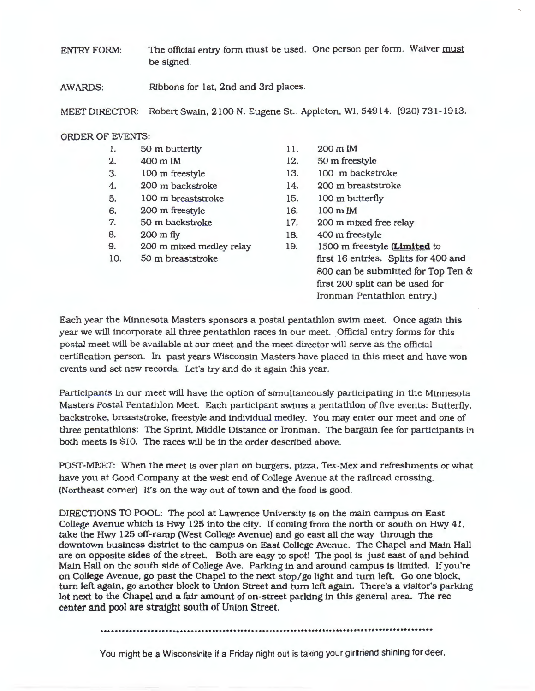ENTRY FORM: The official entry form must be used. One person per form. Waiver must be signed.

AWARDS: Ribbons for 1st, 2nd and 3rd places.

MEET DIRECTOR: RobertSwain, 2100N. EugeneSt.,Appleton, WI, 54914. (920) 731-1913.

#### ORDER OF EVENTS:

- 1. 50 m butterfly
- 2. 400mIM
- 3. 100 m freestyle
- 4. 200 m backstroke
- 5. 100 m breaststroke
- 6. 200 m freestyle
- 7. 50 m backstroke
- 8. 200 m fly
- 9. 200 m mixed medley relay
- 10. 50 m breaststroke
- 11. 200 m IM
- 12. 50 m freestyle
- 13. 100 m backstroke
- 14. 200 m breaststroke
- 15. 100 m butterfly
- 16. 100m IM
- 17. 200 m mixed free relay
- 18. 400 m freestyle
- 19. 1500 m freestyle **{Limited** to first 16 entries. Splits for 400 and 800 can be submitted for Top Ten & first 200 split can be used for Ironman Pentathlon entry.)

Each year the Minnesota Masters sponsors a postal pentathlon swim meet. Once again this year we will incorporate all three pentathlon races in our meet. Official entry forms for this postal meet will be available at our meet and the meet director will serve as the official certification person. In past years Wisconsin Masters have placed in this meet and have won events and set new records. Let's try and do it again this year.

Participants in our meet will have the option of simultaneously participating in the Minnesota Masters Postal Pentathlon Meet. Each participant swims a pentathlon of five events: Butterfly. backstroke, breaststroke, freestyle and individual medley. You may enter our meet and one of three pentathlons: The Sprint, Middle Distance or lronman. The bargain fee for participants in both meets is \$10. The races will be in the order described above.

POST-MEET: When the meet is over plan on burgers, pizza, Tex-Mex and refreshments or what have you at Good Company at the west end of College Avenue at the railroad crossing. (Northeast comer) It's on the way out of town and the food is good.

DIRECTIONS TO POOL: The pool at Lawrence University is on the main campus on East College Avenue which is Hwy 125 into the city. If coming from the north or south on Hwy 41, take the Hwy 125 off-ramp (West College Avenue) and go east all the way through the downtown business distrtct to the campus on East College Avenue. The Chapel and Main Hall are on opposite sides of the street. Both are easy to spot! The pool is just east of and behind Main Hall on the south side of College Ave. Parking in and around campus is limited. If you're on College Avenue, go past the Chapel to the next stop/go light and tum left. Go one block, turn left again, go another block to Union Street and tum left again. There's a visitor's parking lot next to the Chapel and a fair amount of on-street parking in this general area. The rec center and pool are straight south of Union Street.

.....••............•..........................••.••....•••.................•••.•.•••..•••..••

You might be a Wisconsinite if a Friday night out is taking your girlfriend shining for deer.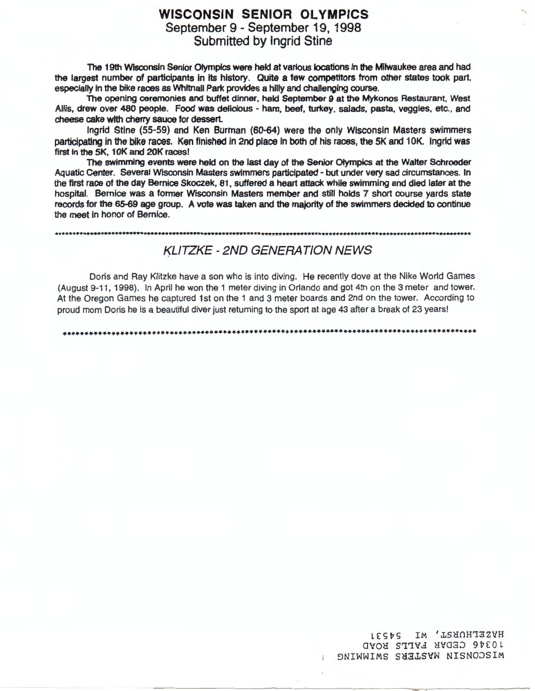## **WISCONSIN SENIOR OLYMPICS**  September 9 - September 19, 1998 Submitted by Ingrid Stine

The 19th Wisconsin Senior Otymplcs were held at various locations in the Mitwaukee area and had the largest number of participants In Its history. Quite **a few** competitors from other states took part, especially in the bike races as Whitnall Park provides a hilly and challenging course.

The opening ceremonies and buffet dinner, held September 9 at the Mykonos Restaurant, West Allis, drew over 480 people. Food was delicious - ham, beef, turkey, salads, pasta, veggies, etc., and cheese cake with cherry sauce for dessert.

Ingrid Stine (55-59) and Ken Burman (60-64) were the only Wisconsin Masters swimmers participating in the bike races. Ken finished in 2nd place in both of his races, the 5K and 10K. Ingrid was first in the 5K, 10K and 20K races!

The swimming events were held on the last day of the Senior Otympics at the Walter Schroeder Aquatic Center. Several Wisconsin Masters swimmers participated - but under very sad circumstances. In the first race of the day Bernice Skoczek, 81, suffered a heart attack while swimming and died later at the hospital. Bernice was a former Wisconsin Masters member and still holds 7 short course yards state records for the 65-69 age group. A vote was taken and the majority of the swimmers decided to continue the meet in honor of Bernice.

## KLITZKE - 2ND GENERATION NEWS

Doris and Ray Klitzke have a son who is into diving. He recently dove at the Nike World Games (August 9-11, 1998). In April he won the 1 meter diving in Orlando and got 4th on the 3 meter and tower. At the Oregon Games he captured 1st on the 1 and 3 meter boards and 2nd on the tower. According to proud mom Doris he is a beautiful diver just returning to the sport at age 43 after a break of 23 years!

LESPS IM 'LSHOHTSZYH 10346 CEDAR FALLS ROAD ONIWWIMS SHALSYW NISNOOSIM